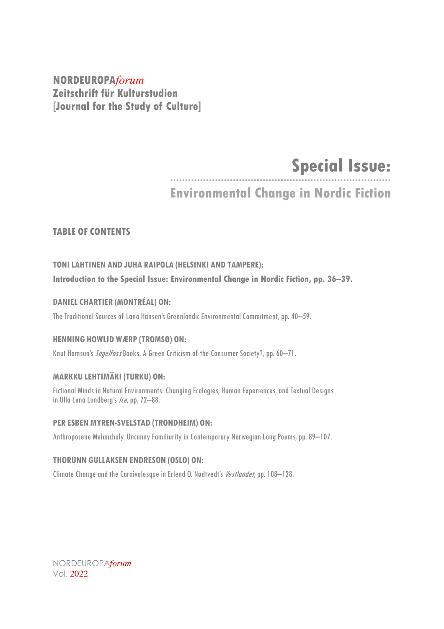**NORDEUROPA***forum* **Zeitschrift für Kulturstudien [Journal for the Study of Culture]**

# **Special Issue:**

**Environmental Change in Nordic Fiction**

### **TABLE OF CONTENTS**

## **TONILAHTINEN AND JUHA RAIPOLA (HELSINKI AND TAMPERE): Introduction to the Special Issue: Environmental Change in Nordic Fiction, pp. 36–39.**

### **DANIEL CHARTIER (MONTRÉAL) ON:**

The Traditional Sources of Lana Hansen's Greenlandic Environmental Commitment, pp. 40–59.

#### **HENNING HOWLID WÆRP (TROMSØ) ON:**

Knut Hamsun's *Segelfoss* Books. A Green Criticism of the Consumer Society?, pp. 60-71.

### **MARKKU LEHTIMÄKI (TURKU) ON:**

Fictional Minds in Natural Environments: Changing Ecologies, Human Experiences, and Textual Designs in Ulla Lena Lundberg's Ice, pp. 72-88.

#### **PER ESBEN MYREN-SVELSTAD (TRONDHEIM) ON:**

Anthropocene Melancholy. Uncanny Familiarity in Contemporary Norwegian Long Poems, pp. 89-107.

#### **THORUNN GULLAKSEN ENDRESON (OSLO) ON:**

Climate Change and the Carnivalesque in Erlend O. Nødtvedt's *Vestlandet*, pp. 108–128.

NORDEUROPA*forum* Vol. 2022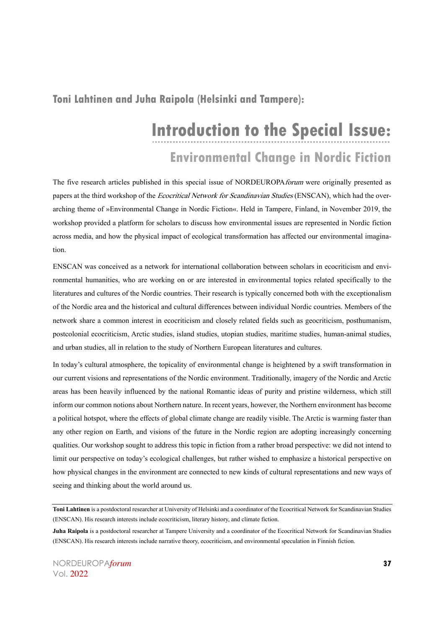## **Toni Lahtinen and Juha Raipola (Helsinki and Tampere):**

# **Introduction to the Special Issue: Environmental Change in Nordic Fiction**

The five research articles published in this special issue of NORDEUROPA forum were originally presented as papers at the third workshop of the *Ecocritical Network for Scandinavian Studies* (ENSCAN), which had the overarching theme of »Environmental Change in Nordic Fiction«. Held in Tampere, Finland, in November 2019, the workshop provided a platform for scholars to discuss how environmental issues are represented in Nordic fiction across media, and how the physical impact of ecological transformation has affected our environmental imagination.

ENSCAN was conceived as a network for international collaboration between scholars in ecocriticism and environmental humanities, who are working on or are interested in environmental topics related specifically to the literatures and cultures of the Nordic countries. Their research is typically concerned both with the exceptionalism of the Nordic area and the historical and cultural differences between individual Nordic countries. Members of the network share a common interest in ecocriticism and closely related fields such as geocriticism, posthumanism, postcolonial ecocriticism, Arctic studies, island studies, utopian studies, maritime studies, human-animal studies, and urban studies, all in relation to the study of Northern European literatures and cultures.

In today's cultural atmosphere, the topicality of environmental change is heightened by a swift transformation in our current visions and representations of the Nordic environment. Traditionally, imagery of the Nordic and Arctic areas has been heavily influenced by the national Romantic ideas of purity and pristine wilderness, which still inform our common notions about Northern nature. In recent years, however, the Northern environment has become a political hotspot, where the effects of global climate change are readily visible. The Arctic is warming faster than any other region on Earth, and visions of the future in the Nordic region are adopting increasingly concerning qualities. Our workshop sought to address this topic in fiction from a rather broad perspective: we did not intend to limit our perspective on today's ecological challenges, but rather wished to emphasize a historical perspective on how physical changes in the environment are connected to new kinds of cultural representations and new ways of seeing and thinking about the world around us.

**Toni Lahtinen** is a postdoctoral researcher at University of Helsinki and a coordinator of the Ecocritical Network for Scandinavian Studies (ENSCAN). His research interests include ecocriticism, literary history, and climate fiction.

**Juha Raipola** is a postdoctoral researcher at Tampere University and a coordinator of the Ecocritical Network for Scandinavian Studies (ENSCAN). His research interests include narrative theory, ecocriticism, and environmental speculation in Finnish fiction.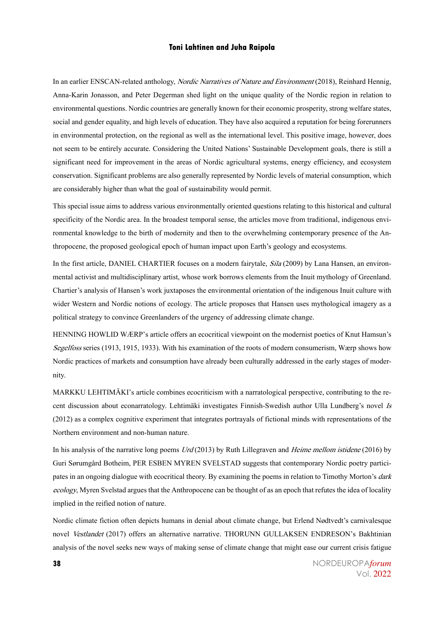#### **Toni Lahtinen and Juha Raipola**

In an earlier ENSCAN-related anthology, *Nordic Narratives of Nature and Environment* (2018), Reinhard Hennig, Anna-Karin Jonasson, and Peter Degerman shed light on the unique quality of the Nordic region in relation to environmental questions. Nordic countries are generally known for their economic prosperity, strong welfare states, social and gender equality, and high levels of education. They have also acquired a reputation for being forerunners in environmental protection, on the regional as well as the international level. This positive image, however, does not seem to be entirely accurate. Considering the United Nations' Sustainable Development goals, there is still a significant need for improvement in the areas of Nordic agricultural systems, energy efficiency, and ecosystem conservation. Significant problems are also generally represented by Nordic levels of material consumption, which are considerably higher than what the goal of sustainability would permit.

This special issue aims to address various environmentally oriented questions relating to this historical and cultural specificity of the Nordic area. In the broadest temporal sense, the articles move from traditional, indigenous environmental knowledge to the birth of modernity and then to the overwhelming contemporary presence of the Anthropocene, the proposed geological epoch of human impact upon Earth's geology and ecosystems.

In the first article, DANIEL CHARTIER focuses on a modern fairytale, *Sila* (2009) by Lana Hansen, an environmental activist and multidisciplinary artist, whose work borrows elements from the Inuit mythology of Greenland. Chartier's analysis of Hansen's work juxtaposes the environmental orientation of the indigenous Inuit culture with wider Western and Nordic notions of ecology. The article proposes that Hansen uses mythological imagery as a political strategy to convince Greenlanders of the urgency of addressing climate change.

HENNING HOWLID WÆRP's article offers an ecocritical viewpoint on the modernist poetics of Knut Hamsun's Segelfoss series (1913, 1915, 1933). With his examination of the roots of modern consumerism, Wærp shows how Nordic practices of markets and consumption have already been culturally addressed in the early stages of modernity.

MARKKU LEHTIMÄKI's article combines ecocriticism with a narratological perspective, contributing to the recent discussion about econarratology. Lehtimäki investigates Finnish-Swedish author Ulla Lundberg's novel Is (2012) as a complex cognitive experiment that integrates portrayals of fictional minds with representations of the Northern environment and non-human nature.

In his analysis of the narrative long poems Urd (2013) by Ruth Lillegraven and Heime mellom istidene (2016) by Guri Sørumgård Botheim, PER ESBEN MYREN SVELSTAD suggests that contemporary Nordic poetry participates in an ongoing dialogue with ecocritical theory. By examining the poems in relation to Timothy Morton's *dark* ecology, Myren Svelstad argues that the Anthropocene can be thought of as an epoch that refutes the idea of locality implied in the reified notion of nature.

Nordic climate fiction often depicts humans in denial about climate change, but Erlend Nødtvedt's carnivalesque novel Vestlandet (2017) offers an alternative narrative. THORUNN GULLAKSEN ENDRESON's Bakhtinian analysis of the novel seeks new ways of making sense of climate change that might ease our current crisis fatigue